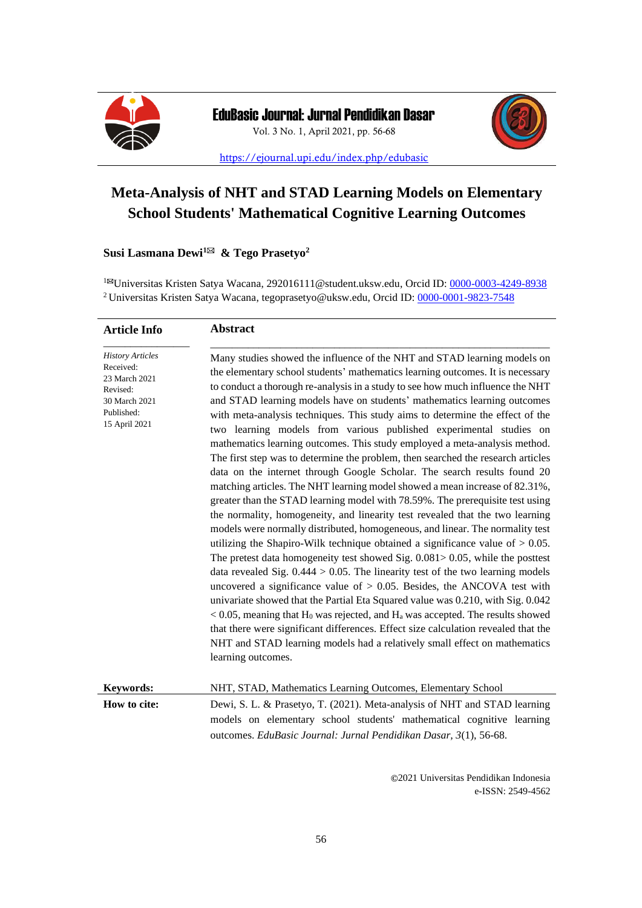



<https://ejournal.upi.edu/index.php/edubasic>

# **Meta-Analysis of NHT and STAD Learning Models on Elementary School Students' Mathematical Cognitive Learning Outcomes**

# **Susi Lasmana Dewi<sup>1</sup> & Tego Prasetyo<sup>2</sup>**

<sup>1⊠</sup>Universitas Kristen Satya Wacana, [292016111@student.uksw.edu,](mailto:292016111@student.uksw.edu) Orcid ID: [0000-0003-4249-8938](https://orcid.org/0000-0003-4249-8938) <sup>2</sup> Universitas Kristen Satya Wacana, tegoprasetyo@uksw.edu, Orcid ID: [0000-0001-9823-7548](https://orcid.org/0000-0001-9823-7548)

| <b>Article Info</b>                                                                                               | <b>Abstract</b>                                                                                                                                                                                                                                                                                                                                                                                                                                                                                                                                                                                                                                                                                                                                                                                                                                                                                                                                                                                                                                                                                                                                                                                                                                                                                                                                                                                                                                                                                                                                                                                                                                                                                                                                                                                    |
|-------------------------------------------------------------------------------------------------------------------|----------------------------------------------------------------------------------------------------------------------------------------------------------------------------------------------------------------------------------------------------------------------------------------------------------------------------------------------------------------------------------------------------------------------------------------------------------------------------------------------------------------------------------------------------------------------------------------------------------------------------------------------------------------------------------------------------------------------------------------------------------------------------------------------------------------------------------------------------------------------------------------------------------------------------------------------------------------------------------------------------------------------------------------------------------------------------------------------------------------------------------------------------------------------------------------------------------------------------------------------------------------------------------------------------------------------------------------------------------------------------------------------------------------------------------------------------------------------------------------------------------------------------------------------------------------------------------------------------------------------------------------------------------------------------------------------------------------------------------------------------------------------------------------------------|
| <b>History Articles</b><br>Received:<br>23 March 2021<br>Revised:<br>30 March 2021<br>Published:<br>15 April 2021 | Many studies showed the influence of the NHT and STAD learning models on<br>the elementary school students' mathematics learning outcomes. It is necessary<br>to conduct a thorough re-analysis in a study to see how much influence the NHT<br>and STAD learning models have on students' mathematics learning outcomes<br>with meta-analysis techniques. This study aims to determine the effect of the<br>two learning models from various published experimental studies on<br>mathematics learning outcomes. This study employed a meta-analysis method.<br>The first step was to determine the problem, then searched the research articles<br>data on the internet through Google Scholar. The search results found 20<br>matching articles. The NHT learning model showed a mean increase of 82.31%,<br>greater than the STAD learning model with 78.59%. The prerequisite test using<br>the normality, homogeneity, and linearity test revealed that the two learning<br>models were normally distributed, homogeneous, and linear. The normality test<br>utilizing the Shapiro-Wilk technique obtained a significance value of $> 0.05$ .<br>The pretest data homogeneity test showed Sig. $0.081 > 0.05$ , while the posttest<br>data revealed Sig. $0.444 > 0.05$ . The linearity test of the two learning models<br>uncovered a significance value of $> 0.05$ . Besides, the ANCOVA test with<br>univariate showed that the Partial Eta Squared value was 0.210, with Sig. 0.042<br>$<$ 0.05, meaning that H <sub>0</sub> was rejected, and H <sub>a</sub> was accepted. The results showed<br>that there were significant differences. Effect size calculation revealed that the<br>NHT and STAD learning models had a relatively small effect on mathematics<br>learning outcomes. |
| <b>Keywords:</b>                                                                                                  | NHT, STAD, Mathematics Learning Outcomes, Elementary School                                                                                                                                                                                                                                                                                                                                                                                                                                                                                                                                                                                                                                                                                                                                                                                                                                                                                                                                                                                                                                                                                                                                                                                                                                                                                                                                                                                                                                                                                                                                                                                                                                                                                                                                        |
| How to cite:                                                                                                      | Dewi, S. L. & Prasetyo, T. (2021). Meta-analysis of NHT and STAD learning<br>models on elementary school students' mathematical cognitive learning<br>outcomes. EduBasic Journal: Jurnal Pendidikan Dasar, 3(1), 56-68.                                                                                                                                                                                                                                                                                                                                                                                                                                                                                                                                                                                                                                                                                                                                                                                                                                                                                                                                                                                                                                                                                                                                                                                                                                                                                                                                                                                                                                                                                                                                                                            |

**©**2021 Universitas Pendidikan Indonesia e-ISSN: 2549-4562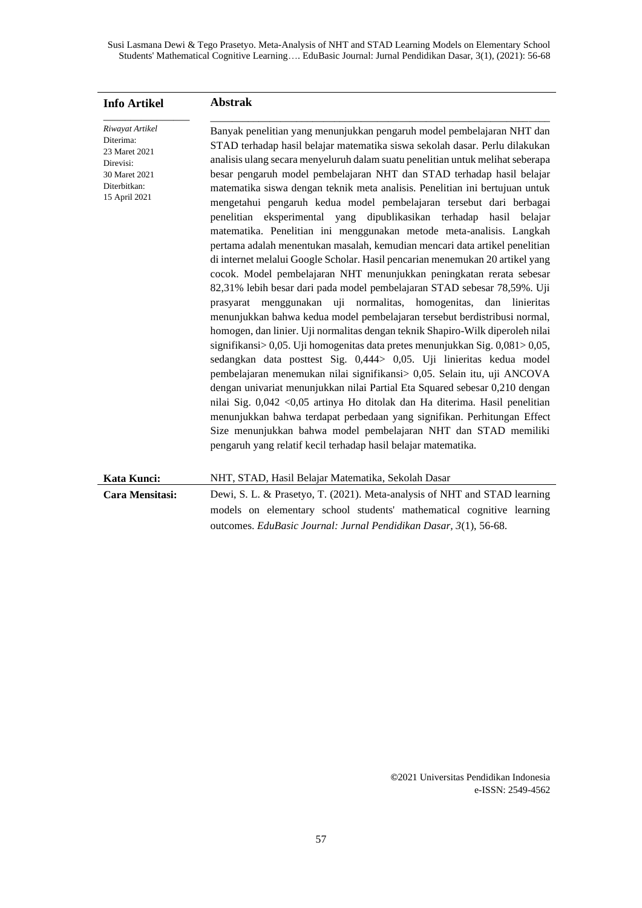| Riwayat Artikel<br>Banyak penelitian yang menunjukkan pengaruh model pembelajaran NHT dan<br>Diterima:                                                                                                                                                                                                                                                                                                                                                                                                                                                                                                                                                                                                                                                                                                                                                                                                                                                                                                                                                                                                                                                                                                                                                                                                                                                                                                                                                                                                                                                                                                                                                                                                                                                                                                                       |
|------------------------------------------------------------------------------------------------------------------------------------------------------------------------------------------------------------------------------------------------------------------------------------------------------------------------------------------------------------------------------------------------------------------------------------------------------------------------------------------------------------------------------------------------------------------------------------------------------------------------------------------------------------------------------------------------------------------------------------------------------------------------------------------------------------------------------------------------------------------------------------------------------------------------------------------------------------------------------------------------------------------------------------------------------------------------------------------------------------------------------------------------------------------------------------------------------------------------------------------------------------------------------------------------------------------------------------------------------------------------------------------------------------------------------------------------------------------------------------------------------------------------------------------------------------------------------------------------------------------------------------------------------------------------------------------------------------------------------------------------------------------------------------------------------------------------------|
| STAD terhadap hasil belajar matematika siswa sekolah dasar. Perlu dilakukan<br>23 Maret 2021<br>analisis ulang secara menyeluruh dalam suatu penelitian untuk melihat seberapa<br>Direvisi:<br>besar pengaruh model pembelajaran NHT dan STAD terhadap hasil belajar<br>30 Maret 2021<br>Diterbitkan:<br>matematika siswa dengan teknik meta analisis. Penelitian ini bertujuan untuk<br>15 April 2021<br>mengetahui pengaruh kedua model pembelajaran tersebut dari berbagai<br>penelitian eksperimental yang dipublikasikan terhadap hasil belajar<br>matematika. Penelitian ini menggunakan metode meta-analisis. Langkah<br>pertama adalah menentukan masalah, kemudian mencari data artikel penelitian<br>di internet melalui Google Scholar. Hasil pencarian menemukan 20 artikel yang<br>cocok. Model pembelajaran NHT menunjukkan peningkatan rerata sebesar<br>82,31% lebih besar dari pada model pembelajaran STAD sebesar 78,59%. Uji<br>menggunakan uji<br>normalitas, homogenitas,<br>dan<br>linieritas<br>prasyarat<br>menunjukkan bahwa kedua model pembelajaran tersebut berdistribusi normal,<br>homogen, dan linier. Uji normalitas dengan teknik Shapiro-Wilk diperoleh nilai<br>signifikansi $> 0.05$ . Uji homogenitas data pretes menunjukkan Sig. $0.081 > 0.05$ ,<br>sedangkan data posttest Sig. 0,444> 0,05. Uji linieritas kedua model<br>pembelajaran menemukan nilai signifikansi> 0,05. Selain itu, uji ANCOVA<br>dengan univariat menunjukkan nilai Partial Eta Squared sebesar 0,210 dengan<br>nilai Sig. 0,042 < 0,05 artinya Ho ditolak dan Ha diterima. Hasil penelitian<br>menunjukkan bahwa terdapat perbedaan yang signifikan. Perhitungan Effect<br>Size menunjukkan bahwa model pembelajaran NHT dan STAD memiliki<br>pengaruh yang relatif kecil terhadap hasil belajar matematika. |
| Kata Kunci:<br>NHT, STAD, Hasil Belajar Matematika, Sekolah Dasar                                                                                                                                                                                                                                                                                                                                                                                                                                                                                                                                                                                                                                                                                                                                                                                                                                                                                                                                                                                                                                                                                                                                                                                                                                                                                                                                                                                                                                                                                                                                                                                                                                                                                                                                                            |
| Cara Mensitasi:<br>Dewi, S. L. & Prasetyo, T. (2021). Meta-analysis of NHT and STAD learning<br>models on elementary school students' mathematical cognitive learning<br>outcomes. EduBasic Journal: Jurnal Pendidikan Dasar, 3(1), 56-68.                                                                                                                                                                                                                                                                                                                                                                                                                                                                                                                                                                                                                                                                                                                                                                                                                                                                                                                                                                                                                                                                                                                                                                                                                                                                                                                                                                                                                                                                                                                                                                                   |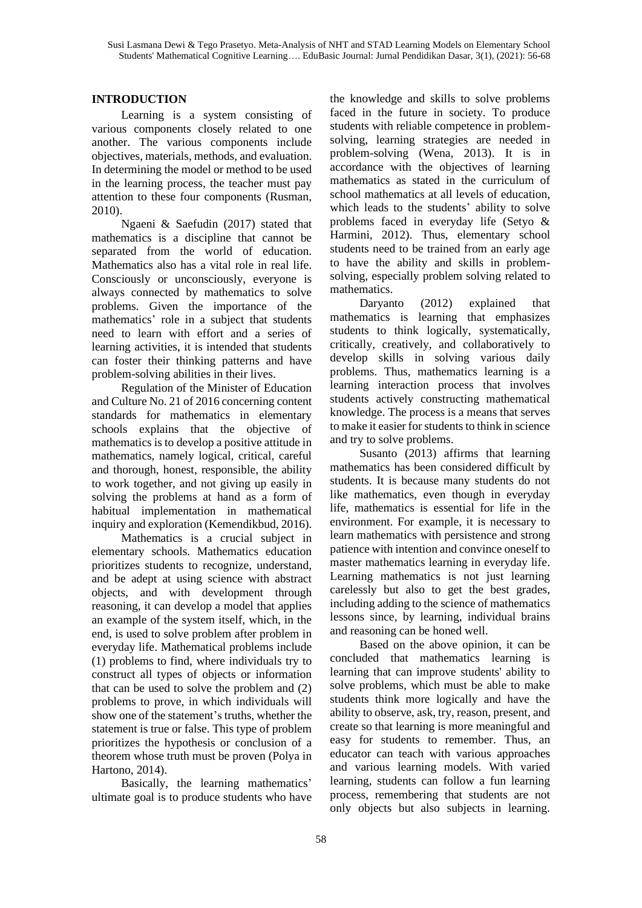# **INTRODUCTION**

Learning is a system consisting of various components closely related to one another. The various components include objectives, materials, methods, and evaluation. In determining the model or method to be used in the learning process, the teacher must pay attention to these four components (Rusman, 2010).

Ngaeni & Saefudin (2017) stated that mathematics is a discipline that cannot be separated from the world of education. Mathematics also has a vital role in real life. Consciously or unconsciously, everyone is always connected by mathematics to solve problems. Given the importance of the mathematics' role in a subject that students need to learn with effort and a series of learning activities, it is intended that students can foster their thinking patterns and have problem-solving abilities in their lives.

Regulation of the Minister of Education and Culture No. 21 of 2016 concerning content standards for mathematics in elementary schools explains that the objective of mathematics is to develop a positive attitude in mathematics, namely logical, critical, careful and thorough, honest, responsible, the ability to work together, and not giving up easily in solving the problems at hand as a form of habitual implementation in mathematical inquiry and exploration (Kemendikbud, 2016).

Mathematics is a crucial subject in elementary schools. Mathematics education prioritizes students to recognize, understand, and be adept at using science with abstract objects, and with development through reasoning, it can develop a model that applies an example of the system itself, which, in the end, is used to solve problem after problem in everyday life. Mathematical problems include (1) problems to find, where individuals try to construct all types of objects or information that can be used to solve the problem and (2) problems to prove, in which individuals will show one of the statement's truths, whether the statement is true or false. This type of problem prioritizes the hypothesis or conclusion of a theorem whose truth must be proven (Polya in Hartono, 2014).

Basically, the learning mathematics' ultimate goal is to produce students who have the knowledge and skills to solve problems faced in the future in society. To produce students with reliable competence in problemsolving, learning strategies are needed in problem-solving (Wena, 2013). It is in accordance with the objectives of learning mathematics as stated in the curriculum of school mathematics at all levels of education, which leads to the students' ability to solve problems faced in everyday life (Setyo & Harmini, 2012). Thus, elementary school students need to be trained from an early age to have the ability and skills in problemsolving, especially problem solving related to mathematics.

Daryanto (2012) explained that mathematics is learning that emphasizes students to think logically, systematically, critically, creatively, and collaboratively to develop skills in solving various daily problems. Thus, mathematics learning is a learning interaction process that involves students actively constructing mathematical knowledge. The process is a means that serves to make it easier for students to think in science and try to solve problems.

Susanto (2013) affirms that learning mathematics has been considered difficult by students. It is because many students do not like mathematics, even though in everyday life, mathematics is essential for life in the environment. For example, it is necessary to learn mathematics with persistence and strong patience with intention and convince oneself to master mathematics learning in everyday life. Learning mathematics is not just learning carelessly but also to get the best grades, including adding to the science of mathematics lessons since, by learning, individual brains and reasoning can be honed well.

Based on the above opinion, it can be concluded that mathematics learning is learning that can improve students' ability to solve problems, which must be able to make students think more logically and have the ability to observe, ask, try, reason, present, and create so that learning is more meaningful and easy for students to remember. Thus, an educator can teach with various approaches and various learning models. With varied learning, students can follow a fun learning process, remembering that students are not only objects but also subjects in learning.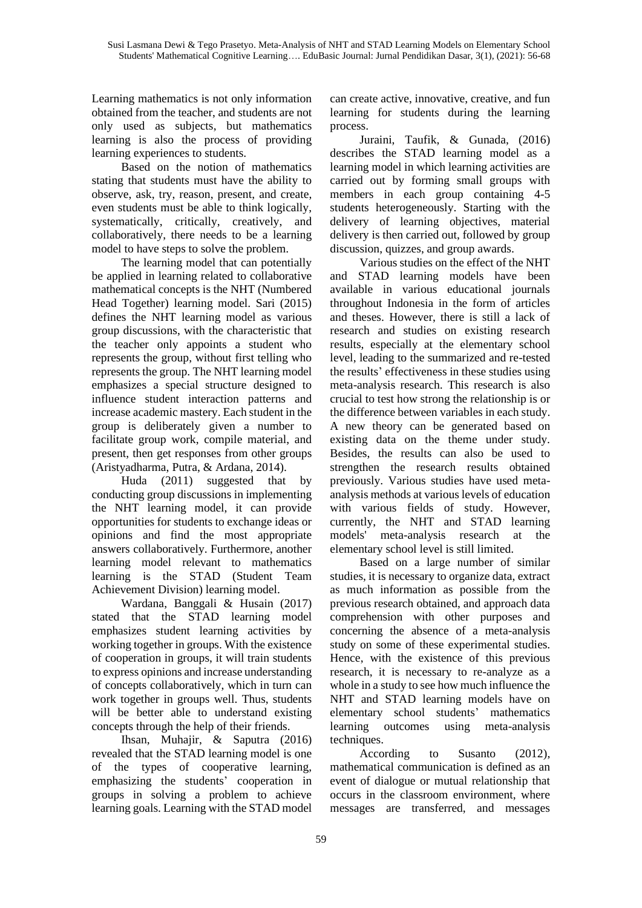Learning mathematics is not only information obtained from the teacher, and students are not only used as subjects, but mathematics learning is also the process of providing learning experiences to students.

Based on the notion of mathematics stating that students must have the ability to observe, ask, try, reason, present, and create, even students must be able to think logically, systematically, critically, creatively, and collaboratively, there needs to be a learning model to have steps to solve the problem.

The learning model that can potentially be applied in learning related to collaborative mathematical concepts is the NHT (Numbered Head Together) learning model. Sari (2015) defines the NHT learning model as various group discussions, with the characteristic that the teacher only appoints a student who represents the group, without first telling who represents the group. The NHT learning model emphasizes a special structure designed to influence student interaction patterns and increase academic mastery. Each student in the group is deliberately given a number to facilitate group work, compile material, and present, then get responses from other groups (Aristyadharma, Putra, & Ardana, 2014).

Huda (2011) suggested that by conducting group discussions in implementing the NHT learning model, it can provide opportunities for students to exchange ideas or opinions and find the most appropriate answers collaboratively. Furthermore, another learning model relevant to mathematics learning is the STAD (Student Team Achievement Division) learning model.

Wardana, Banggali & Husain (2017) stated that the STAD learning model emphasizes student learning activities by working together in groups. With the existence of cooperation in groups, it will train students to express opinions and increase understanding of concepts collaboratively, which in turn can work together in groups well. Thus, students will be better able to understand existing concepts through the help of their friends.

Ihsan, Muhajir, & Saputra (2016) revealed that the STAD learning model is one of the types of cooperative learning, emphasizing the students' cooperation in groups in solving a problem to achieve learning goals. Learning with the STAD model can create active, innovative, creative, and fun learning for students during the learning process.

Juraini, Taufik, & Gunada, (2016) describes the STAD learning model as a learning model in which learning activities are carried out by forming small groups with members in each group containing 4-5 students heterogeneously. Starting with the delivery of learning objectives, material delivery is then carried out, followed by group discussion, quizzes, and group awards.

Various studies on the effect of the NHT and STAD learning models have been available in various educational journals throughout Indonesia in the form of articles and theses. However, there is still a lack of research and studies on existing research results, especially at the elementary school level, leading to the summarized and re-tested the results' effectiveness in these studies using meta-analysis research. This research is also crucial to test how strong the relationship is or the difference between variables in each study. A new theory can be generated based on existing data on the theme under study. Besides, the results can also be used to strengthen the research results obtained previously. Various studies have used metaanalysis methods at various levels of education with various fields of study. However, currently, the NHT and STAD learning models' meta-analysis research at the elementary school level is still limited.

Based on a large number of similar studies, it is necessary to organize data, extract as much information as possible from the previous research obtained, and approach data comprehension with other purposes and concerning the absence of a meta-analysis study on some of these experimental studies. Hence, with the existence of this previous research, it is necessary to re-analyze as a whole in a study to see how much influence the NHT and STAD learning models have on elementary school students' mathematics learning outcomes using meta-analysis techniques.

According to Susanto (2012), mathematical communication is defined as an event of dialogue or mutual relationship that occurs in the classroom environment, where messages are transferred, and messages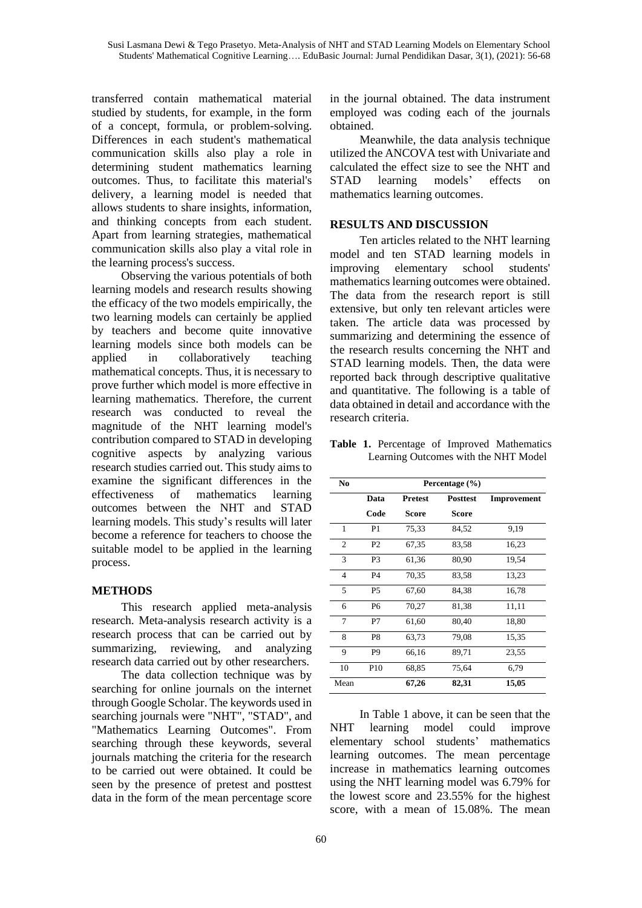transferred contain mathematical material studied by students, for example, in the form of a concept, formula, or problem-solving. Differences in each student's mathematical communication skills also play a role in determining student mathematics learning outcomes. Thus, to facilitate this material's delivery, a learning model is needed that allows students to share insights, information, and thinking concepts from each student. Apart from learning strategies, mathematical communication skills also play a vital role in the learning process's success.

Observing the various potentials of both learning models and research results showing the efficacy of the two models empirically, the two learning models can certainly be applied by teachers and become quite innovative learning models since both models can be applied in collaboratively teaching mathematical concepts. Thus, it is necessary to prove further which model is more effective in learning mathematics. Therefore, the current research was conducted to reveal the magnitude of the NHT learning model's contribution compared to STAD in developing cognitive aspects by analyzing various research studies carried out. This study aims to examine the significant differences in the effectiveness of mathematics learning outcomes between the NHT and STAD learning models. This study's results will later become a reference for teachers to choose the suitable model to be applied in the learning process.

## **METHODS**

This research applied meta-analysis research. Meta-analysis research activity is a research process that can be carried out by summarizing, reviewing, and analyzing research data carried out by other researchers.

The data collection technique was by searching for online journals on the internet through Google Scholar. The keywords used in searching journals were "NHT", "STAD", and "Mathematics Learning Outcomes". From searching through these keywords, several journals matching the criteria for the research to be carried out were obtained. It could be seen by the presence of pretest and posttest data in the form of the mean percentage score

in the journal obtained. The data instrument employed was coding each of the journals obtained.

Meanwhile, the data analysis technique utilized the ANCOVA test with Univariate and calculated the effect size to see the NHT and STAD learning models' effects on mathematics learning outcomes.

# **RESULTS AND DISCUSSION**

Ten articles related to the NHT learning model and ten STAD learning models in improving elementary school students' mathematics learning outcomes were obtained. The data from the research report is still extensive, but only ten relevant articles were taken. The article data was processed by summarizing and determining the essence of the research results concerning the NHT and STAD learning models. Then, the data were reported back through descriptive qualitative and quantitative. The following is a table of data obtained in detail and accordance with the research criteria.

**Table 1.** Percentage of Improved Mathematics Learning Outcomes with the NHT Model

| N <sub>0</sub> | Percentage $(\% )$ |                |                 |             |  |  |
|----------------|--------------------|----------------|-----------------|-------------|--|--|
|                | Data               | <b>Pretest</b> | <b>Posttest</b> | Improvement |  |  |
|                | Code               | Score          | <b>Score</b>    |             |  |  |
| 1              | P <sub>1</sub>     | 75,33          | 84,52           | 9,19        |  |  |
| $\overline{c}$ | P <sub>2</sub>     | 67,35          | 83,58           | 16,23       |  |  |
| 3              | P3                 | 61,36          | 80,90           | 19,54       |  |  |
| $\overline{4}$ | <b>P4</b>          | 70,35          | 83,58           | 13,23       |  |  |
| 5              | P5                 | 67,60          | 84.38           | 16,78       |  |  |
| 6              | P6                 | 70,27          | 81,38           | 11,11       |  |  |
| 7              | P7                 | 61,60          | 80.40           | 18,80       |  |  |
| 8              | P8                 | 63,73          | 79,08           | 15,35       |  |  |
| 9              | P9                 | 66,16          | 89,71           | 23,55       |  |  |
| 10             | P <sub>10</sub>    | 68,85          | 75,64           | 6,79        |  |  |
| Mean           |                    | 67,26          | 82,31           | 15,05       |  |  |

In Table 1 above, it can be seen that the NHT learning model could improve elementary school students' mathematics learning outcomes. The mean percentage increase in mathematics learning outcomes using the NHT learning model was 6.79% for the lowest score and 23.55% for the highest score, with a mean of 15.08%. The mean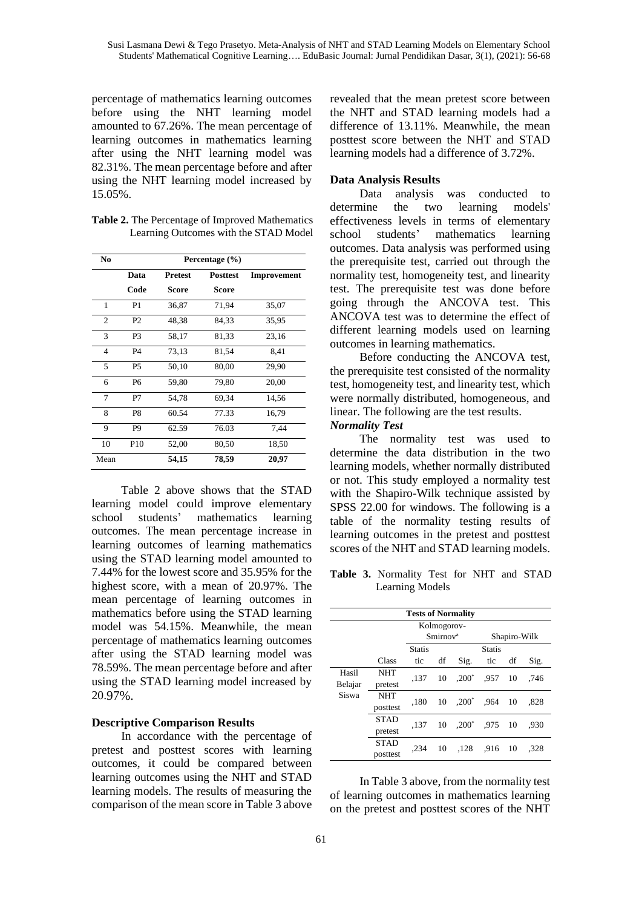percentage of mathematics learning outcomes before using the NHT learning model amounted to 67.26%. The mean percentage of learning outcomes in mathematics learning after using the NHT learning model was 82.31%. The mean percentage before and after using the NHT learning model increased by 15.05%.

**Table 2.** The Percentage of Improved Mathematics Learning Outcomes with the STAD Model

| No             |                 |                | Percentage $(\% )$ |             |
|----------------|-----------------|----------------|--------------------|-------------|
|                | Data            | <b>Pretest</b> | <b>Posttest</b>    | Improvement |
|                | Code            | Score          | Score              |             |
| 1              | P <sub>1</sub>  | 36,87          | 71,94              | 35,07       |
| $\overline{c}$ | P <sub>2</sub>  | 48,38          | 84.33              | 35,95       |
| 3              | P3              | 58,17          | 81,33              | 23,16       |
| $\overline{4}$ | <b>P4</b>       | 73,13          | 81,54              | 8.41        |
| 5              | P5              | 50,10          | 80,00              | 29,90       |
| 6              | P <sub>6</sub>  | 59.80          | 79.80              | 20,00       |
| 7              | P7              | 54.78          | 69.34              | 14,56       |
| 8              | P8              | 60.54          | 77.33              | 16,79       |
| 9              | P <sub>9</sub>  | 62.59          | 76.03              | 7.44        |
| 10             | P <sub>10</sub> | 52,00          | 80,50              | 18,50       |
| Mean           |                 | 54,15          | 78,59              | 20,97       |

Table 2 above shows that the STAD learning model could improve elementary school students' mathematics learning outcomes. The mean percentage increase in learning outcomes of learning mathematics using the STAD learning model amounted to 7.44% for the lowest score and 35.95% for the highest score, with a mean of 20.97%. The mean percentage of learning outcomes in mathematics before using the STAD learning model was 54.15%. Meanwhile, the mean percentage of mathematics learning outcomes after using the STAD learning model was 78.59%. The mean percentage before and after using the STAD learning model increased by 20.97%.

#### **Descriptive Comparison Results**

In accordance with the percentage of pretest and posttest scores with learning outcomes, it could be compared between learning outcomes using the NHT and STAD learning models. The results of measuring the comparison of the mean score in Table 3 above revealed that the mean pretest score between the NHT and STAD learning models had a difference of 13.11%. Meanwhile, the mean posttest score between the NHT and STAD learning models had a difference of 3.72%.

### **Data Analysis Results**

Data analysis was conducted to determine the two learning models' effectiveness levels in terms of elementary school students' mathematics learning outcomes. Data analysis was performed using the prerequisite test, carried out through the normality test, homogeneity test, and linearity test. The prerequisite test was done before going through the ANCOVA test. This ANCOVA test was to determine the effect of different learning models used on learning outcomes in learning mathematics.

Before conducting the ANCOVA test, the prerequisite test consisted of the normality test, homogeneity test, and linearity test, which were normally distributed, homogeneous, and linear. The following are the test results.

#### *Normality Test*

The normality test was used to determine the data distribution in the two learning models, whether normally distributed or not. This study employed a normality test with the Shapiro-Wilk technique assisted by SPSS 22.00 for windows. The following is a table of the normality testing results of learning outcomes in the pretest and posttest scores of the NHT and STAD learning models.

**Table 3.** Normality Test for NHT and STAD Learning Models

| <b>Tests of Normality</b> |             |               |                     |          |                  |              |      |
|---------------------------|-------------|---------------|---------------------|----------|------------------|--------------|------|
|                           |             |               | Kolmogorov-         |          |                  |              |      |
|                           |             |               | S <sub>mirror</sub> |          |                  | Shapiro-Wilk |      |
|                           |             | <b>Statis</b> |                     |          | <b>Statis</b>    |              |      |
|                           | Class       | tic           | df                  | Sig.     | tic              | df           | Sig. |
| Hasil                     | <b>NHT</b>  | .137          | 10                  | $.200*$  | $.957 \quad 10$  |              | .746 |
| Belajar                   | pretest     |               |                     |          |                  |              |      |
| Siswa                     | <b>NHT</b>  | .180          | 10                  | $.200^*$ | .964             | 10           | .828 |
|                           | posttest    |               |                     |          |                  |              |      |
|                           | <b>STAD</b> | .137          | 10                  |          | $.200^*$ .975 10 |              | .930 |
|                           | pretest     |               |                     |          |                  |              |      |
|                           | <b>STAD</b> | .234          | 10                  | .128     | .916             | 10           | .328 |
|                           | posttest    |               |                     |          |                  |              |      |

In Table 3 above, from the normality test of learning outcomes in mathematics learning on the pretest and posttest scores of the NHT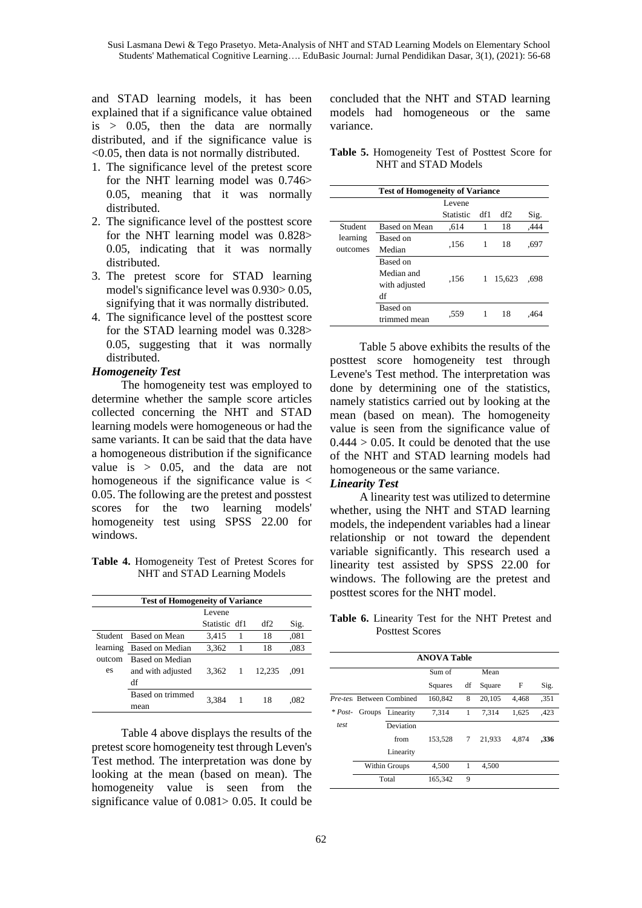and STAD learning models, it has been explained that if a significance value obtained  $is > 0.05$ , then the data are normally distributed, and if the significance value is <0.05, then data is not normally distributed.

- 1. The significance level of the pretest score for the NHT learning model was 0.746> 0.05, meaning that it was normally distributed.
- 2. The significance level of the posttest score for the NHT learning model was 0.828> 0.05, indicating that it was normally distributed.
- 3. The pretest score for STAD learning model's significance level was 0.930> 0.05, signifying that it was normally distributed.
- 4. The significance level of the posttest score for the STAD learning model was 0.328> 0.05, suggesting that it was normally distributed.

#### *Homogeneity Test*

The homogeneity test was employed to determine whether the sample score articles collected concerning the NHT and STAD learning models were homogeneous or had the same variants. It can be said that the data have a homogeneous distribution if the significance value is  $> 0.05$ , and the data are not homogeneous if the significance value is  $\lt$ 0.05. The following are the pretest and posstest scores for the two learning models' homogeneity test using SPSS 22.00 for windows.

**Table 4.** Homogeneity Test of Pretest Scores for NHT and STAD Learning Models

| <b>Test of Homogeneity of Variance</b> |                        |               |                |        |      |  |  |
|----------------------------------------|------------------------|---------------|----------------|--------|------|--|--|
|                                        |                        | Levene        |                |        |      |  |  |
|                                        |                        | Statistic df1 |                | df2    | Sig. |  |  |
| Student                                | Based on Mean          | 3,415         | $\overline{1}$ | 18     | ,081 |  |  |
| learning                               | <b>Based on Median</b> | 3,362         | -1             | 18     | .083 |  |  |
| outcom                                 | Based on Median        |               |                |        |      |  |  |
| es                                     | and with adjusted      | 3.362         | $\overline{1}$ | 12.235 | .091 |  |  |
|                                        | df                     |               |                |        |      |  |  |
|                                        | Based on trimmed       | 3,384         | 1              | 18     | .082 |  |  |
|                                        | mean                   |               |                |        |      |  |  |

Table 4 above displays the results of the pretest score homogeneity test through Leven's Test method. The interpretation was done by looking at the mean (based on mean). The homogeneity value is seen from the significance value of 0.081> 0.05. It could be

concluded that the NHT and STAD learning models had homogeneous or the same variance.

| Table 5. Homogeneity Test of Posttest Score for |  |  |  |
|-------------------------------------------------|--|--|--|
| NHT and STAD Models                             |  |  |  |

| <b>Test of Homogeneity of Variance</b> |                                               |           |     |        |      |  |  |
|----------------------------------------|-----------------------------------------------|-----------|-----|--------|------|--|--|
|                                        |                                               | Levene    |     |        |      |  |  |
|                                        |                                               | Statistic | df1 | df2    | Sig. |  |  |
| Student                                | Based on Mean                                 | .614      | 1   | 18     | .444 |  |  |
| learning<br>outcomes                   | Based on<br>Median                            | .156      | 1   | 18     | .697 |  |  |
|                                        | Based on<br>Median and<br>with adjusted<br>df | .156      | 1   | 15,623 | .698 |  |  |
|                                        | Based on<br>trimmed mean                      | .559      | 1   | 18     | .464 |  |  |

Table 5 above exhibits the results of the posttest score homogeneity test through Levene's Test method. The interpretation was done by determining one of the statistics, namely statistics carried out by looking at the mean (based on mean). The homogeneity value is seen from the significance value of  $0.444 > 0.05$ . It could be denoted that the use of the NHT and STAD learning models had homogeneous or the same variance.

### *Linearity Test*

A linearity test was utilized to determine whether, using the NHT and STAD learning models, the independent variables had a linear relationship or not toward the dependent variable significantly. This research used a linearity test assisted by SPSS 22.00 for windows. The following are the pretest and posttest scores for the NHT model.

**Table 6.** Linearity Test for the NHT Pretest and Posttest Scores

| <b>ANOVA Table</b> |  |                           |         |    |        |       |      |  |
|--------------------|--|---------------------------|---------|----|--------|-------|------|--|
|                    |  |                           | Sum of  |    | Mean   |       |      |  |
|                    |  |                           | Squares | df | Square | F     | Sig. |  |
|                    |  | Pre-tes: Between Combined | 160,842 | 8  | 20,105 | 4.468 | .351 |  |
| $*$ Post-          |  | Groups Linearity          | 7.314   | 1  | 7.314  | 1,625 | ,423 |  |
| <i>test</i>        |  | Deviation                 |         |    |        |       |      |  |
|                    |  | from                      | 153,528 | 7  | 21.933 | 4.874 | ,336 |  |
|                    |  | Linearity                 |         |    |        |       |      |  |
|                    |  | Within Groups             | 4,500   | 1  | 4,500  |       |      |  |
|                    |  | Total                     | 165,342 | 9  |        |       |      |  |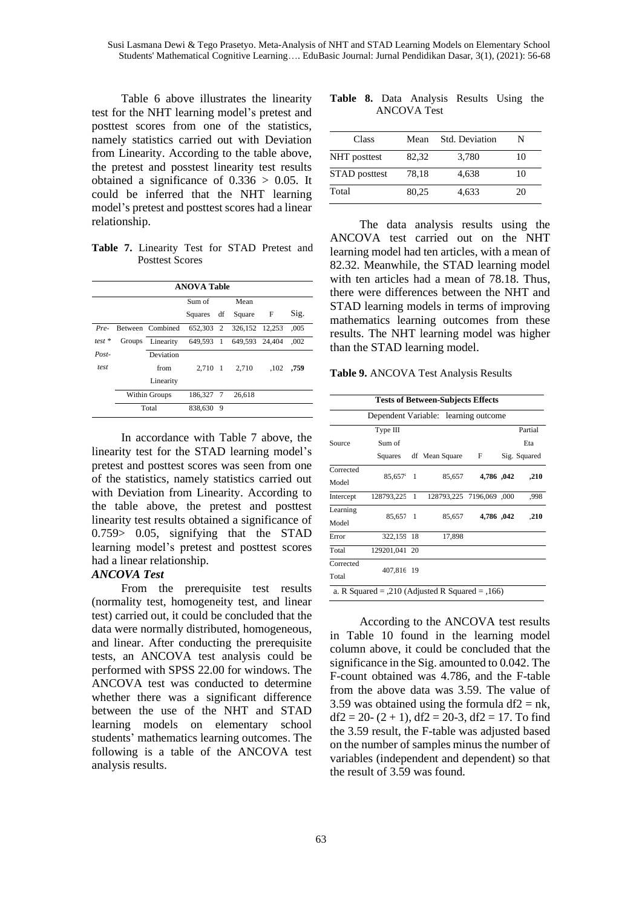Table 6 above illustrates the linearity test for the NHT learning model's pretest and posttest scores from one of the statistics, namely statistics carried out with Deviation from Linearity. According to the table above, the pretest and posstest linearity test results obtained a significance of  $0.336 > 0.05$ . It could be inferred that the NHT learning model's pretest and posttest scores had a linear relationship.

**Table 7.** Linearity Test for STAD Pretest and Posttest Scores

|             | <b>ANOVA Table</b> |                  |            |   |                          |              |      |
|-------------|--------------------|------------------|------------|---|--------------------------|--------------|------|
|             |                    |                  | Sum of     |   | Mean                     |              |      |
|             |                    |                  | Squares df |   | Square                   | $\mathbf{F}$ | Sig. |
| $Pro-$      |                    | Between Combined | 652,303 2  |   | 326, 152 12, 253         |              | .005 |
| $test *$    | Groups             | Linearity        |            |   | 649,593 1 649,593 24,404 |              | .002 |
| $Post-$     |                    | Deviation        |            |   |                          |              |      |
| <i>test</i> |                    | from             | 2,710 1    |   | 2.710                    | ,102         | ,759 |
|             |                    | Linearity        |            |   |                          |              |      |
|             |                    | Within Groups    | 186,327 7  |   | 26,618                   |              |      |
|             |                    | Total            | 838,630    | 9 |                          |              |      |

In accordance with Table 7 above, the linearity test for the STAD learning model's pretest and posttest scores was seen from one of the statistics, namely statistics carried out with Deviation from Linearity. According to the table above, the pretest and posttest linearity test results obtained a significance of 0.759> 0.05, signifying that the STAD learning model's pretest and posttest scores had a linear relationship.

#### *ANCOVA Test*

From the prerequisite test results (normality test, homogeneity test, and linear test) carried out, it could be concluded that the data were normally distributed, homogeneous, and linear. After conducting the prerequisite tests, an ANCOVA test analysis could be performed with SPSS 22.00 for windows. The ANCOVA test was conducted to determine whether there was a significant difference between the use of the NHT and STAD learning models on elementary school students' mathematics learning outcomes. The following is a table of the ANCOVA test analysis results.

**Table 8.** Data Analysis Results Using the ANCOVA Test

| Class                | Mean  | Std. Deviation | N  |
|----------------------|-------|----------------|----|
| NHT posttest         | 82,32 | 3,780          | 10 |
| <b>STAD</b> posttest | 78.18 | 4.638          | 10 |
| Total                | 80.25 | 4.633          | 20 |

The data analysis results using the ANCOVA test carried out on the NHT learning model had ten articles, with a mean of 82.32. Meanwhile, the STAD learning model with ten articles had a mean of 78.18. Thus, there were differences between the NHT and STAD learning models in terms of improving mathematics learning outcomes from these results. The NHT learning model was higher than the STAD learning model.

**Table 9.** ANCOVA Test Analysis Results

|                    |                     |                | Dependent Variable: learning outcome |              |              |
|--------------------|---------------------|----------------|--------------------------------------|--------------|--------------|
|                    | Type III            |                |                                      |              | Partial      |
| Source             | Sum of              |                |                                      |              | Eta          |
|                    | Squares             |                | df Mean Square                       | $\mathbf{F}$ | Sig. Squared |
| Corrected<br>Model | 85,657 <sup>e</sup> | $\overline{1}$ | 85,657                               | 4,786, 042   | ,210         |
| Intercept          | 128793,225          | 1              | 128793,225 7196,069 ,000             |              | .998         |
| Learning<br>Model  | 85,657 1            |                | 85,657                               | 4,786,042    | ,210         |
| Error              | 322,159 18          |                | 17,898                               |              |              |
| Total              | 129201,041 20       |                |                                      |              |              |
| Corrected<br>Total | 407,816 19          |                |                                      |              |              |

According to the ANCOVA test results in Table 10 found in the learning model column above, it could be concluded that the significance in the Sig. amounted to 0.042. The F-count obtained was 4.786, and the F-table from the above data was 3.59. The value of 3.59 was obtained using the formula df $2 = nk$ ,  $df2 = 20 - (2 + 1)$ ,  $df2 = 20 - 3$ ,  $df2 = 17$ . To find the 3.59 result, the F-table was adjusted based on the number of samples minus the number of variables (independent and dependent) so that the result of 3.59 was found.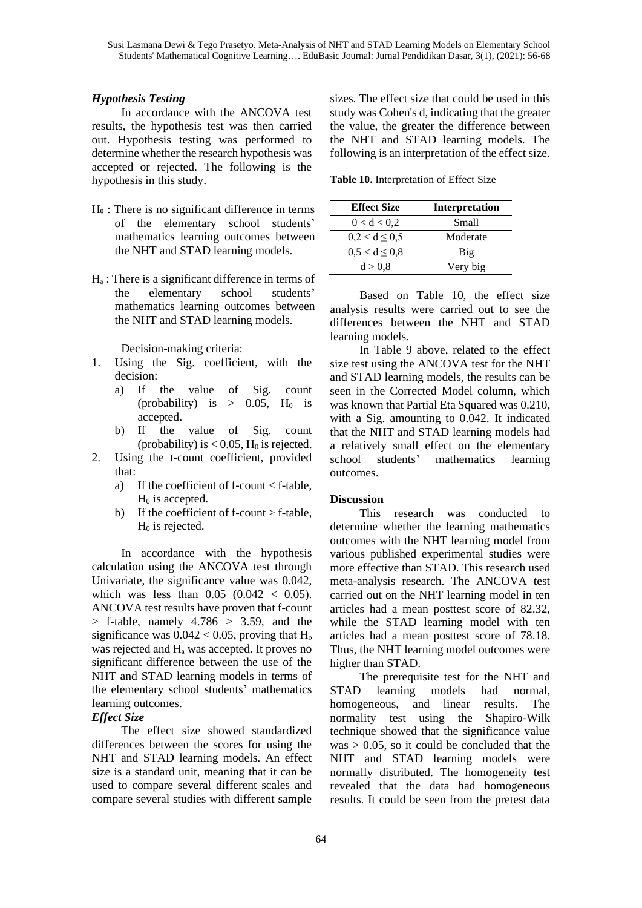# *Hypothesis Testing*

In accordance with the ANCOVA test results, the hypothesis test was then carried out. Hypothesis testing was performed to determine whether the research hypothesis was accepted or rejected. The following is the hypothesis in this study.

- Ho : There is no significant difference in terms of the elementary school students' mathematics learning outcomes between the NHT and STAD learning models.
- $H_a$ : There is a significant difference in terms of the elementary school students' mathematics learning outcomes between the NHT and STAD learning models.

Decision-making criteria:

- 1. Using the Sig. coefficient, with the decision:
	- a) If the value of Sig. count (probability) is  $> 0.05$ , H<sub>0</sub> is accepted.
	- b) If the value of Sig. count (probability) is  $< 0.05$ , H<sub>0</sub> is rejected.
- 2. Using the t-count coefficient, provided that:
	- a) If the coefficient of f-count < f-table,  $H<sub>0</sub>$  is accepted.
	- b) If the coefficient of f-count > f-table,  $H<sub>0</sub>$  is rejected.

In accordance with the hypothesis calculation using the ANCOVA test through Univariate, the significance value was 0.042, which was less than  $0.05$   $(0.042 < 0.05)$ . ANCOVA test results have proven that f-count  $>$  f-table, namely 4.786  $>$  3.59, and the significance was  $0.042 < 0.05$ , proving that H<sub>o</sub> was rejected and  $H_a$  was accepted. It proves no significant difference between the use of the NHT and STAD learning models in terms of the elementary school students' mathematics learning outcomes.

## *Effect Size*

The effect size showed standardized differences between the scores for using the NHT and STAD learning models. An effect size is a standard unit, meaning that it can be used to compare several different scales and compare several studies with different sample

sizes. The effect size that could be used in this study was Cohen's d, indicating that the greater the value, the greater the difference between the NHT and STAD learning models. The following is an interpretation of the effect size.

**Table 10.** Interpretation of Effect Size

| <b>Effect Size</b> | <b>Interpretation</b> |
|--------------------|-----------------------|
| 0 < d < 0.2        | Small                 |
| $0,2 < d \leq 0.5$ | Moderate              |
| $0,5 < d \leq 0.8$ | Big                   |
| d > 0.8            | Very big              |
|                    |                       |

Based on Table 10, the effect size analysis results were carried out to see the differences between the NHT and STAD learning models.

In Table 9 above, related to the effect size test using the ANCOVA test for the NHT and STAD learning models, the results can be seen in the Corrected Model column, which was known that Partial Eta Squared was 0.210, with a Sig. amounting to 0.042. It indicated that the NHT and STAD learning models had a relatively small effect on the elementary school students' mathematics learning outcomes.

## **Discussion**

This research was conducted to determine whether the learning mathematics outcomes with the NHT learning model from various published experimental studies were more effective than STAD. This research used meta-analysis research. The ANCOVA test carried out on the NHT learning model in ten articles had a mean posttest score of 82.32, while the STAD learning model with ten articles had a mean posttest score of 78.18. Thus, the NHT learning model outcomes were higher than STAD.

The prerequisite test for the NHT and STAD learning models had normal, homogeneous, and linear results. The normality test using the Shapiro-Wilk technique showed that the significance value was  $> 0.05$ , so it could be concluded that the NHT and STAD learning models were normally distributed. The homogeneity test revealed that the data had homogeneous results. It could be seen from the pretest data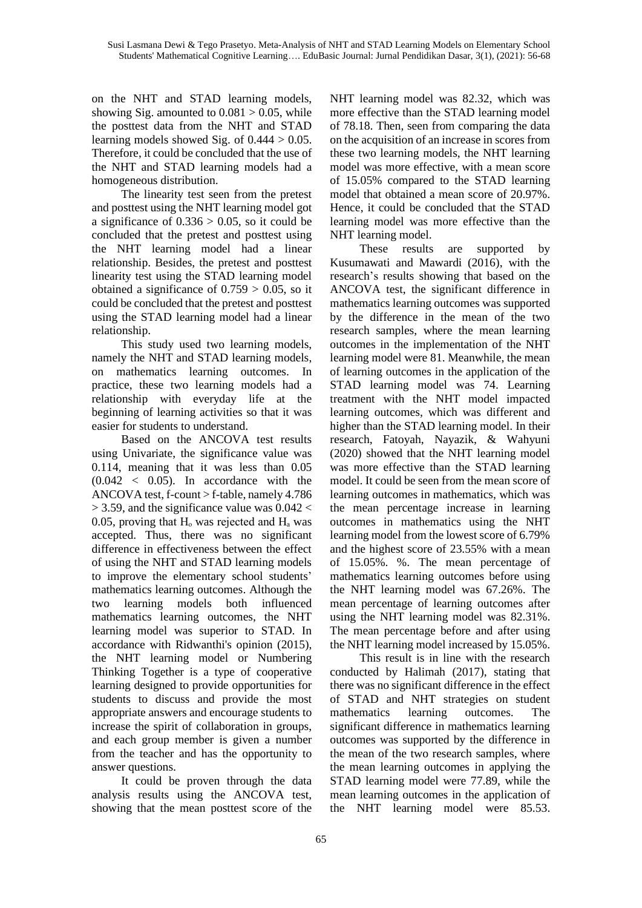on the NHT and STAD learning models, showing Sig. amounted to  $0.081 > 0.05$ , while the posttest data from the NHT and STAD learning models showed Sig. of  $0.444 > 0.05$ . Therefore, it could be concluded that the use of the NHT and STAD learning models had a homogeneous distribution.

The linearity test seen from the pretest and posttest using the NHT learning model got a significance of  $0.336 > 0.05$ , so it could be concluded that the pretest and posttest using the NHT learning model had a linear relationship. Besides, the pretest and posttest linearity test using the STAD learning model obtained a significance of  $0.759 > 0.05$ , so it could be concluded that the pretest and posttest using the STAD learning model had a linear relationship.

This study used two learning models, namely the NHT and STAD learning models, on mathematics learning outcomes. In practice, these two learning models had a relationship with everyday life at the beginning of learning activities so that it was easier for students to understand.

Based on the ANCOVA test results using Univariate, the significance value was 0.114, meaning that it was less than 0.05  $(0.042 \, < 0.05)$ . In accordance with the ANCOVA test, f-count > f-table, namely 4.786  $>$  3.59, and the significance value was 0.042  $<$ 0.05, proving that  $H_0$  was rejected and  $H_a$  was accepted. Thus, there was no significant difference in effectiveness between the effect of using the NHT and STAD learning models to improve the elementary school students' mathematics learning outcomes. Although the two learning models both influenced mathematics learning outcomes, the NHT learning model was superior to STAD. In accordance with Ridwanthi's opinion (2015), the NHT learning model or Numbering Thinking Together is a type of cooperative learning designed to provide opportunities for students to discuss and provide the most appropriate answers and encourage students to increase the spirit of collaboration in groups, and each group member is given a number from the teacher and has the opportunity to answer questions.

It could be proven through the data analysis results using the ANCOVA test, showing that the mean posttest score of the NHT learning model was 82.32, which was more effective than the STAD learning model of 78.18. Then, seen from comparing the data on the acquisition of an increase in scores from these two learning models, the NHT learning model was more effective, with a mean score of 15.05% compared to the STAD learning model that obtained a mean score of 20.97%. Hence, it could be concluded that the STAD learning model was more effective than the NHT learning model.

These results are supported by Kusumawati and Mawardi (2016), with the research's results showing that based on the ANCOVA test, the significant difference in mathematics learning outcomes was supported by the difference in the mean of the two research samples, where the mean learning outcomes in the implementation of the NHT learning model were 81. Meanwhile, the mean of learning outcomes in the application of the STAD learning model was 74. Learning treatment with the NHT model impacted learning outcomes, which was different and higher than the STAD learning model. In their research, Fatoyah, Nayazik, & Wahyuni (2020) showed that the NHT learning model was more effective than the STAD learning model. It could be seen from the mean score of learning outcomes in mathematics, which was the mean percentage increase in learning outcomes in mathematics using the NHT learning model from the lowest score of 6.79% and the highest score of 23.55% with a mean of 15.05%. %. The mean percentage of mathematics learning outcomes before using the NHT learning model was 67.26%. The mean percentage of learning outcomes after using the NHT learning model was 82.31%. The mean percentage before and after using the NHT learning model increased by 15.05%.

This result is in line with the research conducted by Halimah (2017), stating that there was no significant difference in the effect of STAD and NHT strategies on student mathematics learning outcomes. The significant difference in mathematics learning outcomes was supported by the difference in the mean of the two research samples, where the mean learning outcomes in applying the STAD learning model were 77.89, while the mean learning outcomes in the application of the NHT learning model were 85.53.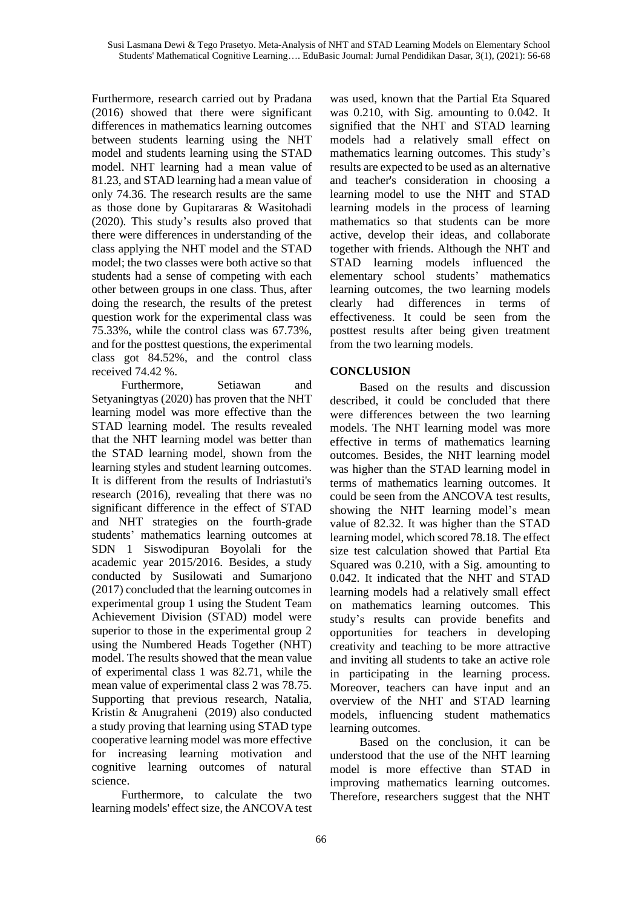Furthermore, research carried out by Pradana (2016) showed that there were significant differences in mathematics learning outcomes between students learning using the NHT model and students learning using the STAD model. NHT learning had a mean value of 81.23, and STAD learning had a mean value of only 74.36. The research results are the same as those done by Gupitararas & Wasitohadi (2020)*.* This study's results also proved that there were differences in understanding of the class applying the NHT model and the STAD model; the two classes were both active so that students had a sense of competing with each other between groups in one class. Thus, after doing the research, the results of the pretest question work for the experimental class was 75.33%, while the control class was 67.73%, and for the posttest questions, the experimental class got 84.52%, and the control class received 74.42 %.

Furthermore, Setiawan and Setyaningtyas (2020) has proven that the NHT learning model was more effective than the STAD learning model*.* The results revealed that the NHT learning model was better than the STAD learning model, shown from the learning styles and student learning outcomes. It is different from the results of Indriastuti's research (2016), revealing that there was no significant difference in the effect of STAD and NHT strategies on the fourth-grade students' mathematics learning outcomes at SDN 1 Siswodipuran Boyolali for the academic year 2015/2016. Besides, a study conducted by Susilowati and Sumarjono (2017) concluded that the learning outcomes in experimental group 1 using the Student Team Achievement Division (STAD) model were superior to those in the experimental group 2 using the Numbered Heads Together (NHT) model. The results showed that the mean value of experimental class 1 was 82.71, while the mean value of experimental class 2 was 78.75. Supporting that previous research, Natalia, Kristin & Anugraheni (2019) also conducted a study proving that learning using STAD type cooperative learning model was more effective for increasing learning motivation and cognitive learning outcomes of natural science.

Furthermore, to calculate the two learning models' effect size, the ANCOVA test was used, known that the Partial Eta Squared was 0.210, with Sig. amounting to 0.042. It signified that the NHT and STAD learning models had a relatively small effect on mathematics learning outcomes. This study's results are expected to be used as an alternative and teacher's consideration in choosing a learning model to use the NHT and STAD learning models in the process of learning mathematics so that students can be more active, develop their ideas, and collaborate together with friends. Although the NHT and STAD learning models influenced the elementary school students' mathematics learning outcomes, the two learning models clearly had differences in terms of effectiveness. It could be seen from the posttest results after being given treatment from the two learning models.

# **CONCLUSION**

Based on the results and discussion described, it could be concluded that there were differences between the two learning models. The NHT learning model was more effective in terms of mathematics learning outcomes. Besides, the NHT learning model was higher than the STAD learning model in terms of mathematics learning outcomes. It could be seen from the ANCOVA test results, showing the NHT learning model's mean value of 82.32. It was higher than the STAD learning model, which scored 78.18. The effect size test calculation showed that Partial Eta Squared was 0.210, with a Sig. amounting to 0.042. It indicated that the NHT and STAD learning models had a relatively small effect on mathematics learning outcomes. This study's results can provide benefits and opportunities for teachers in developing creativity and teaching to be more attractive and inviting all students to take an active role in participating in the learning process. Moreover, teachers can have input and an overview of the NHT and STAD learning models, influencing student mathematics learning outcomes.

Based on the conclusion, it can be understood that the use of the NHT learning model is more effective than STAD in improving mathematics learning outcomes. Therefore, researchers suggest that the NHT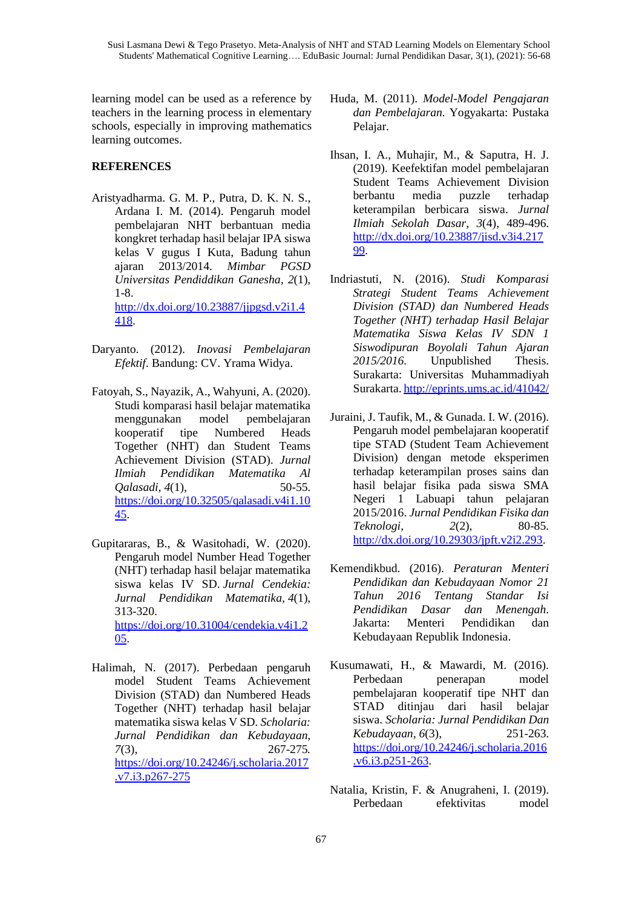learning model can be used as a reference by teachers in the learning process in elementary schools, especially in improving mathematics learning outcomes.

# **REFERENCES**

- Aristyadharma. G. M. P., Putra, D. K. N. S., Ardana I. M. (2014). Pengaruh model pembelajaran NHT berbantuan media kongkret terhadap hasil belajar IPA siswa kelas V gugus I Kuta, Badung tahun ajaran 2013/2014. *Mimbar PGSD Universitas Pendiddikan Ganesha, 2*(1), 1-8. [http://dx.doi.org/10.23887/jjpgsd.v2i1.4](http://dx.doi.org/10.23887/jjpgsd.v2i1.4418) [418.](http://dx.doi.org/10.23887/jjpgsd.v2i1.4418)
- Daryanto. (2012). *Inovasi Pembelajaran Efektif*. Bandung: CV. Yrama Widya.
- Fatoyah, S., Nayazik, A., Wahyuni, A. (2020). Studi komparasi hasil belajar matematika menggunakan model pembelajaran kooperatif tipe Numbered Heads Together (NHT) dan Student Teams Achievement Division (STAD). *Jurnal Ilmiah Pendidikan Matematika Al Qalasadi, 4*(1), 50-55. [https://doi.org/10.32505/qalasadi.v4i1.10](https://doi.org/10.32505/qalasadi.v4i1.1045) [45.](https://doi.org/10.32505/qalasadi.v4i1.1045)
- Gupitararas, B., & Wasitohadi, W. (2020). Pengaruh model Number Head Together (NHT) terhadap hasil belajar matematika siswa kelas IV SD. *Jurnal Cendekia: Jurnal Pendidikan Matematika, 4*(1), 313-320. [https://doi.org/10.31004/cendekia.v4i1.2](https://doi.org/10.31004/cendekia.v4i1.205) [05.](https://doi.org/10.31004/cendekia.v4i1.205)
- Halimah, N. (2017). Perbedaan pengaruh model Student Teams Achievement Division (STAD) dan Numbered Heads Together (NHT) terhadap hasil belajar matematika siswa kelas V SD. *Scholaria: Jurnal Pendidikan dan Kebudayaan, 7*(3), 267-275*.* [https://doi.org/10.24246/j.scholaria.2017](https://doi.org/10.24246/j.scholaria.2017.v7.i3.p267-275) [.v7.i3.p267-275](https://doi.org/10.24246/j.scholaria.2017.v7.i3.p267-275)
- Huda, M. (2011). *Model-Model Pengajaran dan Pembelajaran.* Yogyakarta: Pustaka Pelajar.
- Ihsan, I. A., Muhajir, M., & Saputra, H. J. (2019). Keefektifan model pembelajaran Student Teams Achievement Division berbantu media puzzle terhadap keterampilan berbicara siswa. *Jurnal Ilmiah Sekolah Dasar, 3*(4), 489-496. [http://dx.doi.org/10.23887/jisd.v3i4.217](http://dx.doi.org/10.23887/jisd.v3i4.21799) [99.](http://dx.doi.org/10.23887/jisd.v3i4.21799)
- Indriastuti, N. (2016). *Studi Komparasi Strategi Student Teams Achievement Division (STAD) dan Numbered Heads Together (NHT) terhadap Hasil Belajar Matematika Siswa Kelas IV SDN 1 Siswodipuran Boyolali Tahun Ajaran 2015/2016.* Unpublished Thesis. Surakarta: Universitas Muhammadiyah Surakarta. <http://eprints.ums.ac.id/41042/>
- Juraini, J. Taufik, M., & Gunada. I. W. (2016). Pengaruh model pembelajaran kooperatif tipe STAD (Student Team Achievement Division) dengan metode eksperimen terhadap keterampilan proses sains dan hasil belajar fisika pada siswa SMA Negeri 1 Labuapi tahun pelajaran 2015/2016. *Jurnal Pendidikan Fisika dan Teknologi, 2*(2), 80-85. [http://dx.doi.org/10.29303/jpft.v2i2.293.](http://dx.doi.org/10.29303/jpft.v2i2.293)
- Kemendikbud. (2016). *Peraturan Menteri Pendidikan dan Kebudayaan Nomor 21 Tahun 2016 Tentang Standar Isi Pendidikan Dasar dan Menengah*. Jakarta: Menteri Pendidikan dan Kebudayaan Republik Indonesia.
- Kusumawati, H., & Mawardi, M. (2016). Perbedaan penerapan model pembelajaran kooperatif tipe NHT dan STAD ditinjau dari hasil belajar siswa. *Scholaria: Jurnal Pendidikan Dan Kebudayaan, 6*(3), 251-263. [https://doi.org/10.24246/j.scholaria.2016](https://doi.org/10.24246/j.scholaria.2016.v6.i3.p251-263) [.v6.i3.p251-263.](https://doi.org/10.24246/j.scholaria.2016.v6.i3.p251-263)
- Natalia, Kristin, F. & Anugraheni, I. (2019). Perbedaan efektivitas model